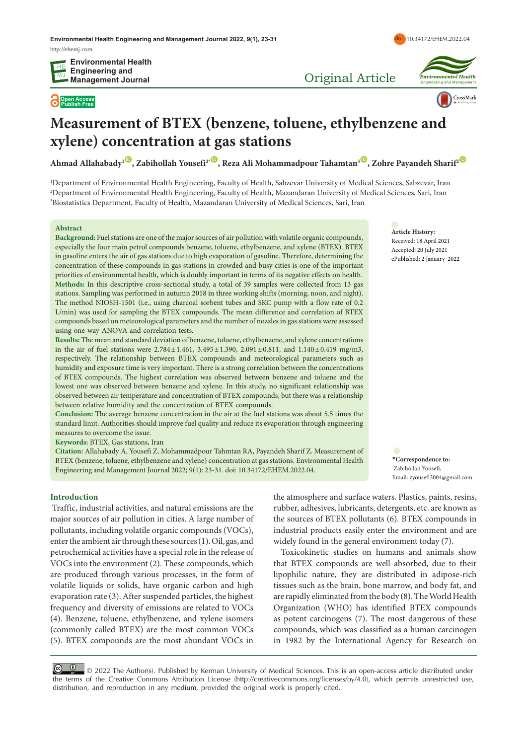**Open Access Publish Free**

Original Article



doi [10.34172/EHEM.2022.04](https://doi.org/10.34172/EHEM.2022.04)

# **Measurement of BTEX (benzene, toluene, ethylbenzene and xylene) concentration at gas stations**

**Ahmad Allahabady<sup>1</sup><sup>(0</sup>)</del>, Zabihollah Yousefi<sup>2t</sup><sup>(0</sup>), Reza Ali Mohammadpour Tahamtan<sup>3</sup><sup>(0</sup>), Zohre Payandeh Sharif<sup>2</sup><sup>(0</sup>)** 

1 Department of Environmental Health Engineering, Faculty of Health, Sabzevar University of Medical Sciences, Sabzevar, Iran 2 Department of Environmental Health Engineering, Faculty of Health, Mazandaran University of Medical Sciences, Sari, Iran 3 Biostatistics Department, Faculty of Health, Mazandaran University of Medical Sciences, Sari, Iran

#### **Abstract**

**Background:** Fuel stations are one of the major sources of air pollution with volatile organic compounds, especially the four main petrol compounds benzene, toluene, ethylbenzene, and xylene (BTEX). BTEX in gasoline enters the air of gas stations due to high evaporation of gasoline. Therefore, determining the concentration of these compounds in gas stations in crowded and busy cities is one of the important priorities of environmental health, which is doubly important in terms of its negative effects on health. **Methods:** In this descriptive cross-sectional study, a total of 39 samples were collected from 13 gas stations. Sampling was performed in autumn 2018 in three working shifts (morning, noon, and night). The method NIOSH-1501 (i.e., using charcoal sorbent tubes and SKC pump with a flow rate of 0.2 L/min) was used for sampling the BTEX compounds. The mean difference and correlation of BTEX compounds based on meteorological parameters and the number of nozzles in gas stations were assessed using one-way ANOVA and correlation tests.

**Results:** The mean and standard deviation of benzene, toluene, ethylbenzene, and xylene concentrations in the air of fuel stations were 2.784±1.461, 3.495±1.390, 2.091±0.811, and 1.140±0.419 mg/m3, respectively. The relationship between BTEX compounds and meteorological parameters such as humidity and exposure time is very important. There is a strong correlation between the concentrations of BTEX compounds. The highest correlation was observed between benzene and toluene and the lowest one was observed between benzene and xylene. In this study, no significant relationship was observed between air temperature and concentration of BTEX compounds, but there was a relationship between relative humidity and the concentration of BTEX compounds.

**Conclusion:** The average benzene concentration in the air at the fuel stations was about 5.5 times the standard limit. Authorities should improve fuel quality and reduce its evaporation through engineering measures to overcome the issue.

**Keywords:** BTEX, Gas stations, Iran

**Citation:** Allahabady A, Yousefi Z, Mohammadpour Tahmtan RA, Payandeh Sharif Z. Measurement of BTEX (benzene, toluene, ethylbenzene and xylene) concentration at gas stations. Environmental Health Engineering and Management Journal 2022; 9(1): 23-31. doi: 10.34172/EHEM.2022.04.

**Article History:** Received: 18 April 2021 Accepted: 20 July 2021 ePublished: 2 January 2022

**\*Correspondence to:** Zabihollah Yousefi, Email: zyousefi2004@gmail.com

## **Introduction**

 Traffic, industrial activities, and natural emissions are the major sources of air pollution in cities. A large number of pollutants, including volatile organic compounds (VOCs), enter the ambient air through these sources (1). Oil, gas, and petrochemical activities have a special role in the release of VOCs into the environment (2). These compounds, which are produced through various processes, in the form of volatile liquids or solids, have organic carbon and high evaporation rate (3). After suspended particles, the highest frequency and diversity of emissions are related to VOCs (4). Benzene, toluene, ethylbenzene, and xylene isomers (commonly called BTEX) are the most common VOCs (5). BTEX compounds are the most abundant VOCs in

the atmosphere and surface waters. Plastics, paints, resins, rubber, adhesives, lubricants, detergents, etc. are known as the sources of BTEX pollutants (6). BTEX compounds in industrial products easily enter the environment and are widely found in the general environment today (7).

Toxicokinetic studies on humans and animals show that BTEX compounds are well absorbed, due to their lipophilic nature, they are distributed in adipose-rich tissues such as the brain, bone marrow, and body fat, and are rapidly eliminated from the body (8). The World Health Organization (WHO) has identified BTEX compounds as potent carcinogens (7). The most dangerous of these compounds, which was classified as a human carcinogen in 1982 by the International Agency for Research on

© <sup>0</sup> 0 2022 The Author(s). Published by Kerman University of Medical Sciences. This is an open-access article distributed under the terms of the Creative Commons Attribution License (<http://creativecommons.org/licenses/by/4.0>), which permits unrestricted use, distribution, and reproduction in any medium, provided the original work is properly cited.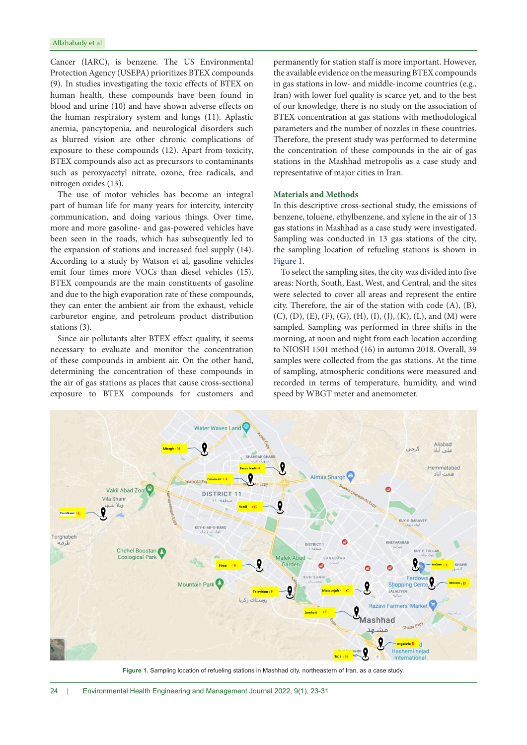Cancer (IARC), is benzene. The US Environmental Protection Agency (USEPA) prioritizes BTEX compounds (9). In studies investigating the toxic effects of BTEX on human health, these compounds have been found in blood and urine (10) and have shown adverse effects on the human respiratory system and lungs (11). Aplastic anemia, pancytopenia, and neurological disorders such as blurred vision are other chronic complications of exposure to these compounds (12). Apart from toxicity, BTEX compounds also act as precursors to contaminants such as peroxyacetyl nitrate, ozone, free radicals, and nitrogen oxides (13).

The use of motor vehicles has become an integral part of human life for many years for intercity, intercity communication, and doing various things. Over time, more and more gasoline- and gas-powered vehicles have been seen in the roads, which has subsequently led to the expansion of stations and increased fuel supply (14). According to a study by Watson et al, gasoline vehicles emit four times more VOCs than diesel vehicles (15). BTEX compounds are the main constituents of gasoline and due to the high evaporation rate of these compounds, they can enter the ambient air from the exhaust, vehicle carburetor engine, and petroleum product distribution stations (3).

Since air pollutants alter BTEX effect quality, it seems necessary to evaluate and monitor the concentration of these compounds in ambient air. On the other hand, determining the concentration of these compounds in the air of gas stations as places that cause cross-sectional exposure to BTEX compounds for customers and

permanently for station staff is more important. However, the available evidence on the measuring BTEX compounds in gas stations in low- and middle-income countries (e.g., Iran) with lower fuel quality is scarce yet, and to the best of our knowledge, there is no study on the association of BTEX concentration at gas stations with methodological parameters and the number of nozzles in these countries. Therefore, the present study was performed to determine the concentration of these compounds in the air of gas stations in the Mashhad metropolis as a case study and representative of major cities in Iran.

## **Materials and Methods**

In this descriptive cross-sectional study, the emissions of benzene, toluene, ethylbenzene, and xylene in the air of 13 gas stations in Mashhad as a case study were investigated. Sampling was conducted in 13 gas stations of the city, the sampling location of refueling stations is shown in [Figure 1.](#page-1-0)

To select the sampling sites, the city was divided into five areas: North, South, East, West, and Central, and the sites were selected to cover all areas and represent the entire city. Therefore, the air of the station with code (A), (B),  $(C), (D), (E), (F), (G), (H), (I), (J), (K), (L),$  and  $(M)$  were sampled. Sampling was performed in three shifts in the morning, at noon and night from each location according to NIOSH 1501 method (16) in autumn 2018. Overall, 39 samples were collected from the gas stations. At the time of sampling, atmospheric conditions were measured and recorded in terms of temperature, humidity, and wind speed by WBGT meter and anemometer.

<span id="page-1-0"></span>

**Figure 1.** Sampling location of refueling stations in Mashhad city, northeastern of Iran, as a case study.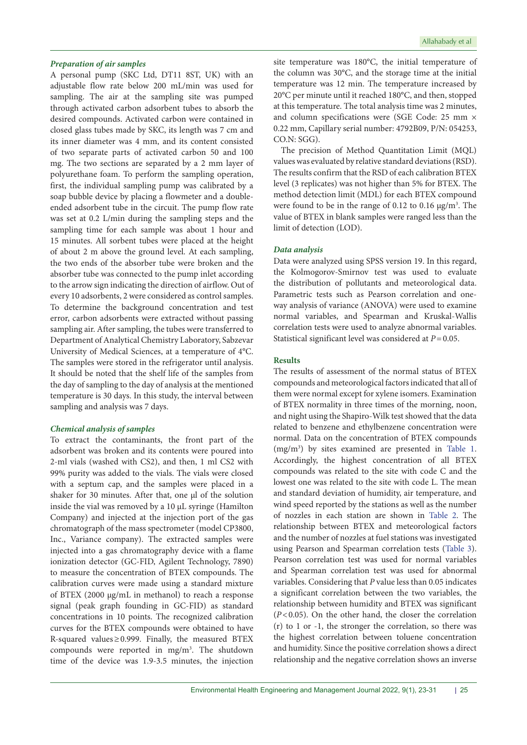## *Preparation of air samples*

A personal pump (SKC Ltd, DT11 8ST, UK) with an adjustable flow rate below 200 mL/min was used for sampling. The air at the sampling site was pumped through activated carbon adsorbent tubes to absorb the desired compounds. Activated carbon were contained in closed glass tubes made by SKC, its length was 7 cm and its inner diameter was 4 mm, and its content consisted of two separate parts of activated carbon 50 and 100 mg. The two sections are separated by a 2 mm layer of polyurethane foam. To perform the sampling operation, first, the individual sampling pump was calibrated by a soap bubble device by placing a flowmeter and a doubleended adsorbent tube in the circuit. The pump flow rate was set at 0.2 L/min during the sampling steps and the sampling time for each sample was about 1 hour and 15 minutes. All sorbent tubes were placed at the height of about 2 m above the ground level. At each sampling, the two ends of the absorber tube were broken and the absorber tube was connected to the pump inlet according to the arrow sign indicating the direction of airflow. Out of every 10 adsorbents, 2 were considered as control samples. To determine the background concentration and test error, carbon adsorbents were extracted without passing sampling air. After sampling, the tubes were transferred to Department of Analytical Chemistry Laboratory, Sabzevar University of Medical Sciences, at a temperature of 4°C. The samples were stored in the refrigerator until analysis. It should be noted that the shelf life of the samples from the day of sampling to the day of analysis at the mentioned temperature is 30 days. In this study, the interval between sampling and analysis was 7 days.

## *Chemical analysis of samples*

To extract the contaminants, the front part of the adsorbent was broken and its contents were poured into 2-ml vials (washed with CS2), and then, 1 ml CS2 with 99% purity was added to the vials. The vials were closed with a septum cap, and the samples were placed in a shaker for 30 minutes. After that, one µl of the solution inside the vial was removed by a 10 µL syringe (Hamilton Company) and injected at the injection port of the gas chromatograph of the mass spectrometer (model CP3800, Inc., Variance company). The extracted samples were injected into a gas chromatography device with a flame ionization detector (GC-FID, Agilent Technology, 7890) to measure the concentration of BTEX compounds. The calibration curves were made using a standard mixture of BTEX (2000 μg/mL in methanol) to reach a response signal (peak graph founding in GC-FID) as standard concentrations in 10 points. The recognized calibration curves for the BTEX compounds were obtained to have R-squared values≥0.999. Finally, the measured BTEX compounds were reported in mg/m<sup>3</sup>. The shutdown time of the device was 1.9-3.5 minutes, the injection

site temperature was 180°C, the initial temperature of the column was 30°C, and the storage time at the initial temperature was 12 min. The temperature increased by 20°C per minute until it reached 180°C, and then, stopped at this temperature. The total analysis time was 2 minutes, and column specifications were (SGE Code: 25 mm × 0.22 mm, Capillary serial number: 4792B09, P/N: 054253, CO.N: SGG).

The precision of Method Quantitation Limit (MQL) values was evaluated by relative standard deviations (RSD). The results confirm that the RSD of each calibration BTEX level (3 replicates) was not higher than 5% for BTEX. The method detection limit (MDL) for each BTEX compound were found to be in the range of 0.12 to 0.16  $\mu$ g/m<sup>3</sup>. The value of BTEX in blank samples were ranged less than the limit of detection (LOD).

#### *Data analysis*

Data were analyzed using SPSS version 19. In this regard, the Kolmogorov-Smirnov test was used to evaluate the distribution of pollutants and meteorological data. Parametric tests such as Pearson correlation and oneway analysis of variance (ANOVA) were used to examine normal variables, and Spearman and Kruskal-Wallis correlation tests were used to analyze abnormal variables. Statistical significant level was considered at *P*=0.05.

## **Results**

The results of assessment of the normal status of BTEX compounds and meteorological factors indicated that all of them were normal except for xylene isomers. Examination of BTEX normality in three times of the morning, noon, and night using the Shapiro-Wilk test showed that the data related to benzene and ethylbenzene concentration were normal. Data on the concentration of BTEX compounds (mg/m3 ) by sites examined are presented in [Table 1](#page-3-0). Accordingly, the highest concentration of all BTEX compounds was related to the site with code C and the lowest one was related to the site with code L. The mean and standard deviation of humidity, air temperature, and wind speed reported by the stations as well as the number of nozzles in each station are shown in [Table 2.](#page-3-1) The relationship between BTEX and meteorological factors and the number of nozzles at fuel stations was investigated using Pearson and Spearman correlation tests [\(Table 3\)](#page-4-0). Pearson correlation test was used for normal variables and Spearman correlation test was used for abnormal variables. Considering that *P* value less than 0.05 indicates a significant correlation between the two variables, the relationship between humidity and BTEX was significant (*P*<0.05). On the other hand, the closer the correlation (r) to 1 or -1, the stronger the correlation, so there was the highest correlation between toluene concentration and humidity. Since the positive correlation shows a direct relationship and the negative correlation shows an inverse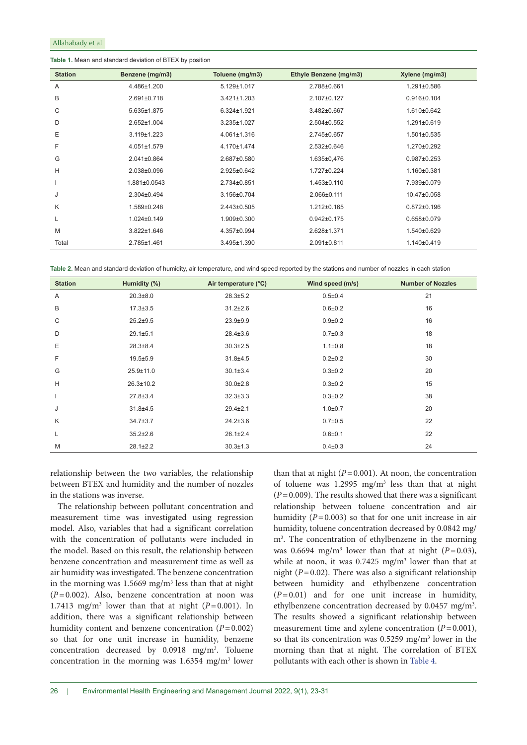#### <span id="page-3-0"></span>**Table 1.** Mean and standard deviation of BTEX by position

| <b>Station</b> | Benzene (mg/m3)   | Toluene (mg/m3)   | Ethyle Benzene (mg/m3) | Xylene (mg/m3)    |
|----------------|-------------------|-------------------|------------------------|-------------------|
| A              | 4.486±1.200       | $5.129 \pm 1.017$ | 2.788±0.661            | 1.291±0.586       |
| B              | $2.691 \pm 0.718$ | $3.421 \pm 1.203$ | 2.107±0.127            | $0.916 \pm 0.104$ |
| С              | 5.635±1.875       | $6.324 \pm 1.921$ | 3.482±0.667            | 1.610±0.642       |
| D              | 2.652±1.004       | $3.235 \pm 1.027$ | $2.504 \pm 0.552$      | 1.291±0.619       |
| E              | $3.119 \pm 1.223$ | $4.061 \pm 1.316$ | 2.745±0.657            | $1.501 \pm 0.535$ |
| F              | $4.051 \pm 1.579$ | 4.170±1.474       | $2.532 \pm 0.646$      | 1.270±0.292       |
| G              | $2.041 \pm 0.864$ | 2.687±0.580       | 1.635±0,476            | $0.987 \pm 0.253$ |
| Н              | 2.038±0.096       | 2.925±0.642       | 1.727±0.224            | 1.160±0.381       |
|                | 1.881±0.0543      | 2.734±0.851       | $1.453 \pm 0.110$      | 7.939±0.079       |
| J              | $2.304 \pm 0.494$ | 3.156±0.704       | 2.066±0.111            | 10.47±0.058       |
| K              | 1.589±0.248       | 2.443±0.505       | 1.212±0.165            | $0.872 \pm 0.196$ |
| L              | $1.024 \pm 0.149$ | $1.909 \pm 0.300$ | $0.942 \pm 0.175$      | $0.658 \pm 0.079$ |
| M              | 3.822±1.646       | 4.357±0.994       | 2.628±1.371            | 1.540±0.629       |
| Total          | 2.785±1.461       | $3.495 \pm 1.390$ | $2.091 \pm 0.811$      | 1.140±0.419       |

<span id="page-3-1"></span>**Table 2.** Mean and standard deviation of humidity, air temperature, and wind speed reported by the stations and number of nozzles in each station

| <b>Station</b> | Humidity (%)    | Air temperature (°C) | Wind speed (m/s) | <b>Number of Nozzles</b> |
|----------------|-----------------|----------------------|------------------|--------------------------|
| Α              | $20.3 + 8.0$    | $28.3 \pm 5.2$       | 0.5 ± 0.4        | 21                       |
| B              | $17.3 \pm 3.5$  | $31.2 \pm 2.6$       | $0.6 + 0.2$      | 16                       |
| C              | $25.2 + 9.5$    | $23.9 + 9.9$         | $0.9 + 0.2$      | 16                       |
| D              | $29.1 \pm 5.1$  | $28.4 \pm 3.6$       | $0.7 \pm 0.3$    | 18                       |
| E              | $28.3 \pm 8.4$  | $30.3 \pm 2.5$       | $1.1 \pm 0.8$    | 18                       |
| F              | $19.5 \pm 5.9$  | $31.8 + 4.5$         | $0.2 \pm 0.2$    | 30                       |
| G              | $25.9 \pm 11.0$ | $30.1 \pm 3.4$       | $0.3 \pm 0.2$    | 20                       |
| H              | $26.3 \pm 10.2$ | $30.0 \pm 2.8$       | $0.3 \pm 0.2$    | 15                       |
| $\overline{1}$ | $27.8 \pm 3.4$  | $32.3 \pm 3.3$       | $0.3 \pm 0.2$    | 38                       |
| J              | $31.8 + 4.5$    | $29.4 \pm 2.1$       | $1.0 + 0.7$      | 20                       |
| K              | $34.7 \pm 3.7$  | $24.2 \pm 3.6$       | $0.7 \pm 0.5$    | 22                       |
| L              | $35.2 \pm 2.6$  | $26.1 \pm 2.4$       | $0.6 + 0.1$      | 22                       |
| M              | $28.1 \pm 2.2$  | $30.3 \pm 1.3$       | $0.4 \pm 0.3$    | 24                       |

relationship between the two variables, the relationship between BTEX and humidity and the number of nozzles in the stations was inverse.

The relationship between pollutant concentration and measurement time was investigated using regression model. Also, variables that had a significant correlation with the concentration of pollutants were included in the model. Based on this result, the relationship between benzene concentration and measurement time as well as air humidity was investigated. The benzene concentration in the morning was  $1.5669$  mg/m<sup>3</sup> less than that at night (*P*=0.002). Also, benzene concentration at noon was 1.7413 mg/m<sup>3</sup> lower than that at night  $(P=0.001)$ . In addition, there was a significant relationship between humidity content and benzene concentration (*P*=0.002) so that for one unit increase in humidity, benzene concentration decreased by  $0.0918$  mg/m<sup>3</sup>. Toluene concentration in the morning was  $1.6354$  mg/m<sup>3</sup> lower than that at night  $(P=0.001)$ . At noon, the concentration of toluene was  $1.2995$  mg/m<sup>3</sup> less than that at night  $(P=0.009)$ . The results showed that there was a significant relationship between toluene concentration and air humidity  $(P=0.003)$  so that for one unit increase in air humidity, toluene concentration decreased by 0.0842 mg/ m3 . The concentration of ethylbenzene in the morning was 0.6694 mg/m<sup>3</sup> lower than that at night ( $P=0.03$ ), while at noon, it was  $0.7425$  mg/m<sup>3</sup> lower than that at night (*P*=0.02). There was also a significant relationship between humidity and ethylbenzene concentration  $(P=0.01)$  and for one unit increase in humidity, ethylbenzene concentration decreased by 0.0457 mg/m<sup>3</sup>. The results showed a significant relationship between measurement time and xylene concentration  $(P=0.001)$ , so that its concentration was  $0.5259$  mg/m<sup>3</sup> lower in the morning than that at night. The correlation of BTEX pollutants with each other is shown in [Table 4](#page-4-1).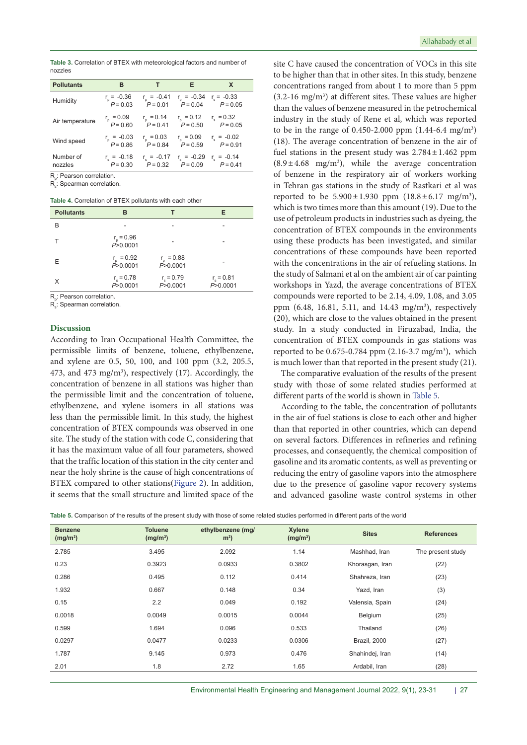<span id="page-4-0"></span>**Table 3.** Correlation of BTEX with meteorological factors and number of nozzles

| <b>Pollutants</b>    | в                                | т                             | Е                                 | X                                 |  |
|----------------------|----------------------------------|-------------------------------|-----------------------------------|-----------------------------------|--|
| Humidity             | $r_{0} = -0.36$<br>$P = 0.03$    | $r_{p} = -0.41$<br>$P = 0.01$ | $r_{\rm p} = -0.34$<br>$P = 0.04$ | $r_s = -0.33$<br>$P = 0.05$       |  |
| Air temperature      | $r_{\rm p} = 0.09$<br>$P = 0.60$ | $r_{n} = 0.14$<br>$P = 0.41$  | $r_{p} = 0.12$<br>$P = 0.50$      | $r_e = 0.32$<br>$P = 0.05$        |  |
| Wind speed           | $r_n = -0.03$<br>$P = 0.86$      | $r_n = 0.03$<br>$P = 0.84$    | $r_{\rm p} = 0.09$<br>$P = 0.59$  | $r_s = -0.02$<br>$P = 0.91$       |  |
| Number of<br>nozzles | $r_a = -0.18$<br>$P = 0.30$      | $r_a = -0.17$<br>$P = 0.32$   | $r_s = -0.29$<br>$P = 0.09$       | $r_{\rm s} = -0.14$<br>$P = 0.41$ |  |

R<sub>p</sub>: Pearson correlation.

 $\mathsf{R}_\mathsf{s}{:}$  Spearman correlation.

<span id="page-4-1"></span>**Table 4.** Correlation of BTEX pollutants with each other

| <b>Pollutants</b> | в                                |                                  | Е                                |
|-------------------|----------------------------------|----------------------------------|----------------------------------|
| B                 |                                  |                                  |                                  |
|                   | $r_{\rm p} = 0.96$<br>P > 0.0001 |                                  |                                  |
| E                 | $r_{\rm p} = 0.92$<br>P > 0.0001 | $r_{\rm p} = 0.88$<br>P > 0.0001 |                                  |
| X                 | $r_{\rm s} = 0.78$<br>P > 0.0001 | $r_{\rm s} = 0.79$<br>P > 0.0001 | $r_{\rm s} = 0.81$<br>P > 0.0001 |

R<sub>,</sub>: Pearson correlation.

R<sub>s</sub>: Spearman correlation.

#### **Discussion**

According to Iran Occupational Health Committee, the permissible limits of benzene, toluene, ethylbenzene, and xylene are 0.5, 50, 100, and 100 ppm (3.2, 205.5, 473, and 473 mg/m<sup>3</sup>), respectively (17). Accordingly, the concentration of benzene in all stations was higher than the permissible limit and the concentration of toluene, ethylbenzene, and xylene isomers in all stations was less than the permissible limit. In this study, the highest concentration of BTEX compounds was observed in one site. The study of the station with code C, considering that it has the maximum value of all four parameters, showed that the traffic location of this station in the city center and near the holy shrine is the cause of high concentrations of BTEX compared to other stations[\(Figure 2\)](#page-5-0). In addition, it seems that the small structure and limited space of the

site C have caused the concentration of VOCs in this site to be higher than that in other sites. In this study, benzene concentrations ranged from about 1 to more than 5 ppm  $(3.2\n-16 \text{ mg/m}^3)$  at different sites. These values are higher than the values of benzene measured in the petrochemical industry in the study of Rene et al, which was reported to be in the range of  $0.450 - 2.000$  ppm  $(1.44 - 6.4$  mg/m<sup>3</sup>) (18). The average concentration of benzene in the air of fuel stations in the present study was  $2.784 \pm 1.462$  ppm  $(8.9 \pm 4.68 \text{ mg/m}^3)$ , while the average concentration of benzene in the respiratory air of workers working in Tehran gas stations in the study of Rastkari et al was reported to be  $5.900 \pm 1.930$  ppm  $(18.8 \pm 6.17 \text{ mg/m}^3)$ , which is two times more than this amount (19). Due to the use of petroleum products in industries such as dyeing, the concentration of BTEX compounds in the environments using these products has been investigated, and similar concentrations of these compounds have been reported with the concentrations in the air of refueling stations. In the study of Salmani et al on the ambient air of car painting workshops in Yazd, the average concentrations of BTEX compounds were reported to be 2.14, 4.09, 1.08, and 3.05 ppm (6.48, 16.81, 5.11, and 14.43 mg/m<sup>3</sup>), respectively (20), which are close to the values obtained in the present study. In a study conducted in Firuzabad, India, the concentration of BTEX compounds in gas stations was reported to be  $0.675 - 0.784$  ppm  $(2.16 - 3.7$  mg/m<sup>3</sup>), which is much lower than that reported in the present study (21).

The comparative evaluation of the results of the present study with those of some related studies performed at different parts of the world is shown in [Table 5](#page-4-2).

According to the table, the concentration of pollutants in the air of fuel stations is close to each other and higher than that reported in other countries, which can depend on several factors. Differences in refineries and refining processes, and consequently, the chemical composition of gasoline and its aromatic contents, as well as preventing or reducing the entry of gasoline vapors into the atmosphere due to the presence of gasoline vapor recovery systems and advanced gasoline waste control systems in other

<span id="page-4-2"></span>**Table 5.** Comparison of the results of the present study with those of some related studies performed in different parts of the world

| <b>Benzene</b><br>(mg/m <sup>3</sup> ) | <b>Toluene</b><br>(mg/m <sup>3</sup> ) | ethylbenzene (mg/<br>m <sup>3</sup> | Xylene<br>(mg/m <sup>3</sup> ) | <b>Sites</b>    | <b>References</b> |
|----------------------------------------|----------------------------------------|-------------------------------------|--------------------------------|-----------------|-------------------|
| 2.785                                  | 3.495                                  | 2.092                               | 1.14                           | Mashhad, Iran   | The present study |
| 0.23                                   | 0.3923                                 | 0.0933                              | 0.3802                         | Khorasgan, Iran | (22)              |
| 0.286                                  | 0.495                                  | 0.112                               | 0.414                          | Shahreza, Iran  | (23)              |
| 1.932                                  | 0.667                                  | 0.148                               | 0.34                           | Yazd, Iran      | (3)               |
| 0.15                                   | 2.2                                    | 0.049                               | 0.192                          | Valensia, Spain | (24)              |
| 0.0018                                 | 0.0049                                 | 0.0015                              | 0.0044                         | Belgium         | (25)              |
| 0.599                                  | 1.694                                  | 0.096                               | 0.533                          | Thailand        | (26)              |
| 0.0297                                 | 0.0477                                 | 0.0233                              | 0.0306                         | Brazil, 2000    | (27)              |
| 1.787                                  | 9.145                                  | 0.973                               | 0.476                          | Shahindej, Iran | (14)              |
| 2.01                                   | 1.8                                    | 2.72                                | 1.65                           | Ardabil, Iran   | (28)              |
|                                        |                                        |                                     |                                |                 |                   |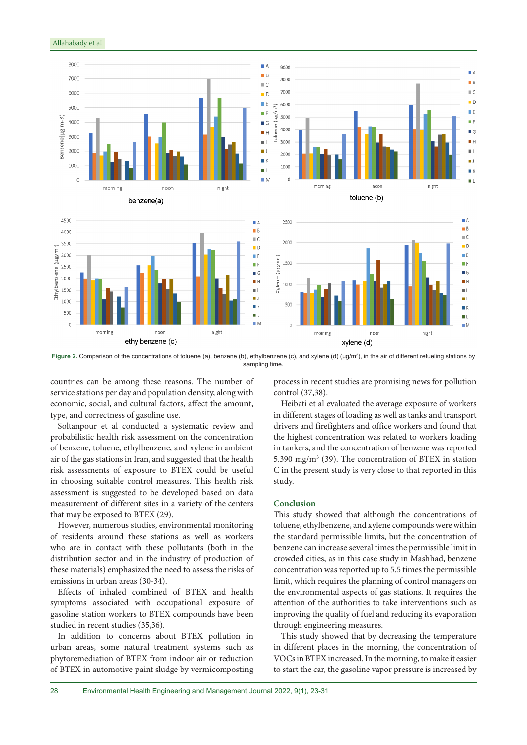

**Figure 2.** Comparison of the concentrations of toluene (a), benzene (b), ethylbenzene (c), and xylene (d) (μg/m<sup>3</sup>), in the air of different refueling stations by sampling time.

countries can be among these reasons. The number of service stations per day and population density, along with economic, social, and cultural factors, affect the amount, type, and correctness of gasoline use.

Soltanpour et al conducted a systematic review and probabilistic health risk assessment on the concentration of benzene, toluene, ethylbenzene, and xylene in ambient air of the gas stations in Iran, and suggested that the health risk assessments of exposure to BTEX could be useful in choosing suitable control measures. This health risk assessment is suggested to be developed based on data measurement of different sites in a variety of the centers that may be exposed to BTEX (29).

However, numerous studies, environmental monitoring of residents around these stations as well as workers who are in contact with these pollutants (both in the distribution sector and in the industry of production of these materials) emphasized the need to assess the risks of emissions in urban areas (30-34).

Effects of inhaled combined of BTEX and health symptoms associated with occupational exposure of gasoline station workers to BTEX compounds have been studied in recent studies (35,36).

In addition to concerns about BTEX pollution in urban areas, some natural treatment systems such as phytoremediation of BTEX from indoor air or reduction of BTEX in automotive paint sludge by vermicomposting

<span id="page-5-0"></span>process in recent studies are promising news for pollution control (37,38).

Heibati et al evaluated the average exposure of workers in different stages of loading as well as tanks and transport drivers and firefighters and office workers and found that the highest concentration was related to workers loading in tankers, and the concentration of benzene was reported 5.390 mg/m3 (39). The concentration of BTEX in station C in the present study is very close to that reported in this study.

#### **Conclusion**

This study showed that although the concentrations of toluene, ethylbenzene, and xylene compounds were within the standard permissible limits, but the concentration of benzene can increase several times the permissible limit in crowded cities, as in this case study in Mashhad, benzene concentration was reported up to 5.5 times the permissible limit, which requires the planning of control managers on the environmental aspects of gas stations. It requires the attention of the authorities to take interventions such as improving the quality of fuel and reducing its evaporation through engineering measures.

This study showed that by decreasing the temperature in different places in the morning, the concentration of VOCs in BTEX increased. In the morning, to make it easier to start the car, the gasoline vapor pressure is increased by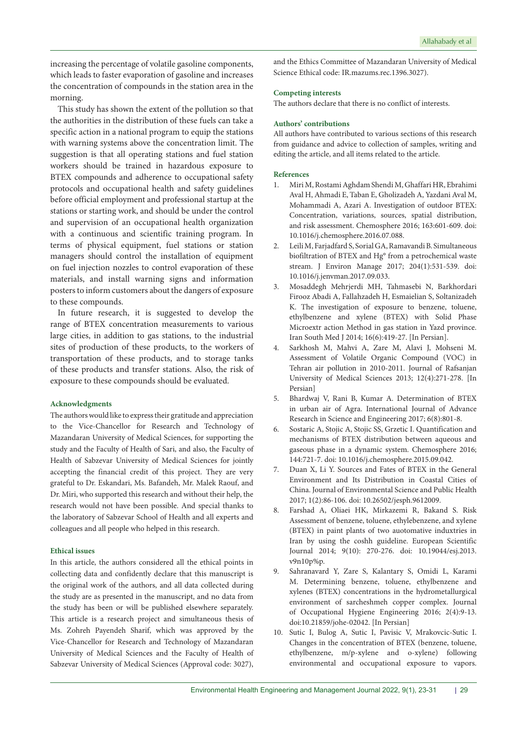increasing the percentage of volatile gasoline components, which leads to faster evaporation of gasoline and increases the concentration of compounds in the station area in the morning.

This study has shown the extent of the pollution so that the authorities in the distribution of these fuels can take a specific action in a national program to equip the stations with warning systems above the concentration limit. The suggestion is that all operating stations and fuel station workers should be trained in hazardous exposure to BTEX compounds and adherence to occupational safety protocols and occupational health and safety guidelines before official employment and professional startup at the stations or starting work, and should be under the control and supervision of an occupational health organization with a continuous and scientific training program. In terms of physical equipment, fuel stations or station managers should control the installation of equipment on fuel injection nozzles to control evaporation of these materials, and install warning signs and information posters to inform customers about the dangers of exposure to these compounds.

In future research, it is suggested to develop the range of BTEX concentration measurements to various large cities, in addition to gas stations, to the industrial sites of production of these products, to the workers of transportation of these products, and to storage tanks of these products and transfer stations. Also, the risk of exposure to these compounds should be evaluated.

## **Acknowledgments**

The authors would like to express their gratitude and appreciation to the Vice-Chancellor for Research and Technology of Mazandaran University of Medical Sciences, for supporting the study and the Faculty of Health of Sari, and also, the Faculty of Health of Sabzevar University of Medical Sciences for jointly accepting the financial credit of this project. They are very grateful to Dr. Eskandari, Ms. Bafandeh, Mr. Malek Raouf, and Dr. Miri, who supported this research and without their help, the research would not have been possible. And special thanks to the laboratory of Sabzevar School of Health and all experts and colleagues and all people who helped in this research.

#### **Ethical issues**

In this article, the authors considered all the ethical points in collecting data and confidently declare that this manuscript is the original work of the authors, and all data collected during the study are as presented in the manuscript, and no data from the study has been or will be published elsewhere separately. This article is a research project and simultaneous thesis of Ms. Zohreh Payendeh Sharif, which was approved by the Vice-Chancellor for Research and Technology of Mazandaran University of Medical Sciences and the Faculty of Health of Sabzevar University of Medical Sciences (Approval code: 3027),

and the Ethics Committee of Mazandaran University of Medical Science Ethical code: IR.mazums.rec.1396.3027).

## **Competing interests**

The authors declare that there is no conflict of interests.

# **Authors' contributions**

All authors have contributed to various sections of this research from guidance and advice to collection of samples, writing and editing the article, and all items related to the article.

#### **References**

- 1. Miri M, Rostami Aghdam Shendi M, Ghaffari HR, Ebrahimi Aval H, Ahmadi E, Taban E, Gholizadeh A, Yazdani Aval M, Mohammadi A, Azari A. Investigation of outdoor BTEX: Concentration, variations, sources, spatial distribution, and risk assessment. Chemosphere 2016; 163:601-609. doi: 10.1016/j.chemosphere.2016.07.088.
- 2. Leili M, Farjadfard S, Sorial GA, Ramavandi B. Simultaneous biofiltration of BTEX and Hg° from a petrochemical waste stream. J Environ Manage 2017; 204(1):531-539. doi: 10.1016/j.jenvman.2017.09.033.
- 3. Mosaddegh Mehrjerdi MH, Tahmasebi N, Barkhordari Firooz Abadi A, Fallahzadeh H, Esmaielian S, Soltanizadeh K. The investigation of exposure to benzene, toluene, ethylbenzene and xylene (BTEX) with Solid Phase Microextr action Method in gas station in Yazd province. Iran South Med J 2014; 16(6):419-27. [In Persian].
- 4. Sarkhosh M, Mahvi A, Zare M, Alavi J, Mohseni M. Assessment of Volatile Organic Compound (VOC) in Tehran air pollution in 2010-2011. Journal of Rafsanjan University of Medical Sciences 2013; 12(4):271-278. [In Persian]
- 5. Bhardwaj V, Rani B, Kumar A. Determination of BTEX in urban air of Agra. International Journal of Advance Research in Science and Engineering 2017; 6(8):801-8.
- 6. Sostaric A, Stojic A, Stojic SS, Grzetic I. Quantification and mechanisms of BTEX distribution between aqueous and gaseous phase in a dynamic system. Chemosphere 2016; 144:721-7. doi: 10.1016/j.chemosphere.2015.09.042.
- 7. Duan X, Li Y. Sources and Fates of BTEX in the General Environment and Its Distribution in Coastal Cities of China. Journal of Environmental Science and Public Health 2017; 1(2):86-106. doi: 10.26502/jesph.9612009.
- 8. Farshad A, Oliaei HK, Mirkazemi R, Bakand S. Risk Assessment of benzene, toluene, ethylebenzene, and xylene (BTEX) in paint plants of two auotomative induxtries in Iran by using the coshh guideline. European Scientific Journal 2014; 9(10): 270-276. doi: 10.19044/esj.2013. v9n10p%p.
- 9. Sahranavard Y, Zare S, Kalantary S, Omidi L, Karami M. Determining benzene, toluene, ethylbenzene and xylenes (BTEX) concentrations in the hydrometallurgical environment of sarcheshmeh copper complex. Journal of Occupational Hygiene Engineering 2016; 2(4):9-13. doi:10.21859/johe-02042. [In Persian]
- 10. Sutic I, Bulog A, Sutic I, Pavisic V, Mrakovcic-Sutic I. Changes in the concentration of BTEX (benzene, toluene, ethylbenzene, m/p-xylene and o-xylene) following environmental and occupational exposure to vapors.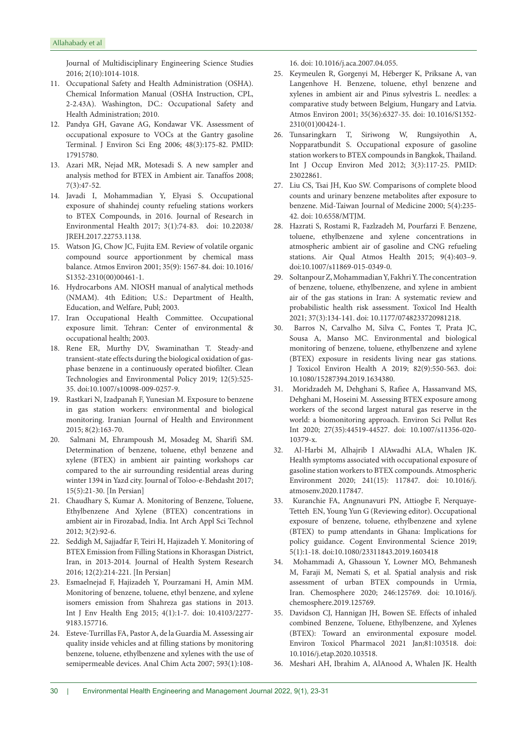Journal of Multidisciplinary Engineering Science Studies 2016; 2(10):1014-1018.

- 11. Occupational Safety and Health Administration (OSHA). Chemical Information Manual (OSHA Instruction, CPL, 2-2.43A). Washington, DC.: Occupational Safety and Health Administration; 2010.
- 12. Pandya GH, Gavane AG, Kondawar VK. Assessment of occupational exposure to VOCs at the Gantry gasoline Terminal. J Environ Sci Eng 2006; 48(3):175-82. PMID: 17915780.
- 13. Azari MR, Nejad MR, Motesadi S. A new sampler and analysis method for BTEX in Ambient air. Tanaffos 2008; 7(3):47-52.
- 14. Javadi I, Mohammadian Y, Elyasi S. Occupational exposure of shahindej county refueling stations workers to BTEX Compounds, in 2016. Journal of Research in Environmental Health 2017; 3(1):74-83. doi: 10.22038/ JREH.2017.22753.1138.
- 15. Watson JG, Chow JC, Fujita EM. Review of volatile organic compound source apportionment by chemical mass balance. Atmos Environ 2001; 35(9): 1567-84. d[oi: 10.1016/](https://doi.org/10.1016/S1352-2310(00)00461-1) [S1352-2310\(00\)00461-1.](https://doi.org/10.1016/S1352-2310(00)00461-1)
- 16. Hydrocarbons AM. NIOSH manual of analytical methods (NMAM). 4th Edition; U.S.: Department of Health, Education, and Welfare, Publ; 2003.
- 17. Iran Occupational Health Committee. Occupational exposure limit. Tehran: Center of environmental & occupational health; 2003.
- 18. Rene ER, Murthy DV, Swaminathan T. Steady-and transient-state effects during the biological oxidation of gasphase benzene in a continuously operated biofilter. Clean Technologies and Environmental Policy 2019; 12(5):525- 35. doi:10.1007/s10098-009-0257-9.
- 19. Rastkari N, Izadpanah F, Yunesian M. Exposure to benzene in gas station workers: environmental and biological monitoring. Iranian Journal of Health and Environment 2015; 8(2):163-70.
- 20. Salmani M, Ehrampoush M, Mosadeg M, Sharifi SM. Determination of benzene, toluene, ethyl benzene and xylene (BTEX) in ambient air painting workshops car compared to the air surrounding residential areas during winter 1394 in Yazd city. Journal of Toloo-e-Behdasht 2017; 15(5):21-30. [In Persian]
- 21. Chaudhary S, Kumar A. Monitoring of Benzene, Toluene, Ethylbenzene And Xylene (BTEX) concentrations in ambient air in Firozabad, India. Int Arch Appl Sci Technol 2012; 3(2):92-6.
- 22. Seddigh M, Sajjadfar F, Teiri H, Hajizadeh Y. Monitoring of BTEX Emission from Filling Stations in Khorasgan District, Iran, in 2013-2014. Journal of Health System Research 2016; 12(2):214-221. [In Persian]
- 23. Esmaelnejad F, Hajizadeh Y, Pourzamani H, Amin MM. Monitoring of benzene, toluene, ethyl benzene, and xylene isomers emission from Shahreza gas stations in 2013. Int J Env Health Eng 2015; 4(1):1-7. doi: 10.4103/2277- 9183.157716.
- 24. Esteve-Turrillas FA, Pastor A, de la Guardia M. Assessing air quality inside vehicles and at filling stations by monitoring benzene, toluene, ethylbenzene and xylenes with the use of semipermeable devices. Anal Chim Acta 2007; 593(1):108-

16. doi: 10.1016/j.aca.2007.04.055.

- 25. Keymeulen R, Gorgenyi M, Héberger K, Priksane A, van Langenhove H. Benzene, toluene, ethyl benzene and xylenes in ambient air and Pinus sylvestris L. needles: a comparative study between Belgium, Hungary and Latvia. Atmos Environ 2001; 35(36):6327-35. doi: 10.1016/S1352- 2310(01)00424-1.
- 26. Tunsaringkarn T, Siriwong W, Rungsiyothin A, Nopparatbundit S. Occupational exposure of gasoline station workers to BTEX compounds in Bangkok, Thailand. Int J Occup Environ Med 2012; 3(3):117-25. PMID: 23022861.
- 27. Liu CS, Tsai JH, Kuo SW. Comparisons of complete blood counts and urinary benzene metabolites after exposure to benzene. Mid-Taiwan Journal of Medicine 2000; 5(4):235- 42. doi: 10.6558/MTJM.
- 28. Hazrati S, Rostami R, Fazlzadeh M, Pourfarzi F. Benzene, toluene, ethylbenzene and xylene concentrations in atmospheric ambient air of gasoline and CNG refueling stations. Air Qual Atmos Health 2015; 9(4):403–9. doi:10.1007/s11869-015-0349-0.
- 29. Soltanpour Z, Mohammadian Y, Fakhri Y. The concentration of benzene, toluene, ethylbenzene, and xylene in ambient air of the gas stations in Iran: A systematic review and probabilistic health risk assessment. Toxicol Ind Health 2021; 37(3):134-141. doi: 10.1177/0748233720981218.
- 30. Barros N, Carvalho M, Silva C, Fontes T, Prata JC, Sousa A, Manso MC. Environmental and biological monitoring of benzene, toluene, ethylbenzene and xylene (BTEX) exposure in residents living near gas stations. J Toxicol Environ Health A 2019; 82(9):550-563. doi: 10.1080/15287394.2019.1634380.
- 31. Moridzadeh M, Dehghani S, Rafiee A, Hassanvand MS, Dehghani M, Hoseini M. Assessing BTEX exposure among workers of the second largest natural gas reserve in the world: a biomonitoring approach. Environ Sci Pollut Res Int 2020; 27(35):44519-44527. doi: 10.1007/s11356-020- 10379-x.
- 32. Al-Harbi M, Alhajrib I AlAwadhi ALA, Whalen JK. Health symptoms associated with occupational exposure of gasoline station workers to BTEX compounds. Atmospheric Environment 2020; 241(15): 117847. doi: 10.1016/j. atmosenv.2020.117847.
- 33. Kuranchie FA, Angnunavuri PN, Attiogbe F, Nerquaye-Tetteh EN, Young Yun G (Reviewing editor). Occupational exposure of benzene, toluene, ethylbenzene and xylene (BTEX) to pump attendants in Ghana: Implications for policy guidance. Cogent Environmental Science 2019; 5(1):1-18. [doi:10.1080/23311843.2019.1603418](https://doi.org/10.1080/23311843.2019.1603418)
- 34. Mohammadi A, Ghassoun Y, Lowner MO, Behmanesh M, Faraji M, Nemati S, et al. Spatial analysis and risk assessment of urban BTEX compounds in Urmia, Iran. Chemosphere 2020; 246:125769. doi: 10.1016/j. chemosphere.2019.125769.
- 35. Davidson CJ, Hannigan JH, Bowen SE. Effects of inhaled combined Benzene, Toluene, Ethylbenzene, and Xylenes (BTEX): Toward an environmental exposure model. Environ Toxicol Pharmacol 2021 Jan;81:103518. doi: 10.1016/j.etap.2020.103518.
- 36. Meshari AH, Ibrahim A, AlAnood A, Whalen JK. Health